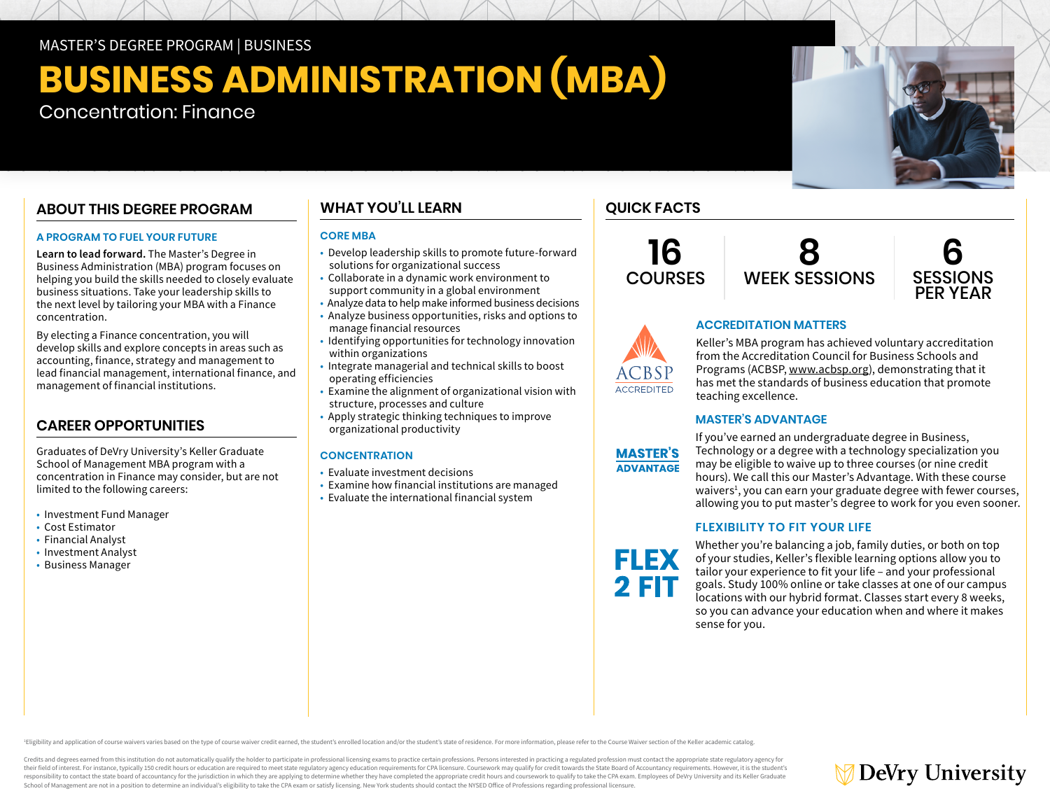# MASTER'S DEGREE PROGRAM | BUSINESS

# **BUSINESS ADMINISTRATION (MBA)**

# Concentration: Finance

# **ABOUT THIS DEGREE PROGRAM**

## **A PROGRAM TO FUEL YOUR FUTURE**

**Learn to lead forward.** The Master's Degree in Business Administration (MBA) program focuses on helping you build the skills needed to closely evaluate business situations. Take your leadership skills to the next level by tailoring your MBA with a Finance concentration.

By electing a Finance concentration, you will develop skills and explore concepts in areas such as accounting, finance, strategy and management to lead financial management, international finance, and management of financial institutions.

# **CAREER OPPORTUNITIES**

Graduates of DeVry University's Keller Graduate School of Management MBA program with a concentration in Finance may consider, but are not limited to the following careers:

- Investment Fund Manager
- Cost Estimator
- Financial Analyst
- Investment Analyst
- Business Manager

# **WHAT YOU'LL LEARN**

## **CORE MBA**

- Develop leadership skills to promote future-forward solutions for organizational success
- Collaborate in a dynamic work environment to support community in a global environment
- Analyze data to help make informed business decisions
- Analyze business opportunities, risks and options to manage financial resources
- Identifying opportunities for technology innovation within organizations
- Integrate managerial and technical skills to boost operating efficiencies
- Examine the alignment of organizational vision with structure, processes and culture
- Apply strategic thinking techniques to improve organizational productivity

# **CONCENTRATION**

- Evaluate investment decisions
- Examine how financial institutions are managed
- Evaluate the international financial system

# **QUICK FACTS**

**16 COURSES** 







**ACCREDITATION MATTERS**

Keller's MBA program has achieved voluntary accreditation from the Accreditation Council for Business Schools and Programs (ACBSP, [www.acbsp.org](https://www.acbsp.org)), demonstrating that it has met the standards of business education that promote teaching excellence.

## **MASTER'S ADVANTAGE**



**FLEX 2 FIT** 

If you've earned an undergraduate degree in Business, Technology or a degree with a technology specialization you may be eligible to waive up to three courses (or nine credit hours). We call this our Master's Advantage. With these course waivers<sup>1</sup>, you can earn your graduate degree with fewer courses, allowing you to put master's degree to work for you even sooner.

# **FLEXIBILITY TO FIT YOUR LIFE**

Whether you're balancing a job, family duties, or both on top of your studies, Keller's flexible learning options allow you to tailor your experience to fit your life – and your professional goals. Study 100% online or take classes at one of our campus locations with our hybrid format. Classes start every 8 weeks, so you can advance your education when and where it makes sense for you.

Eligibility and application of course waivers varies based on the type of course waiver credit earned, the student's enrolled location and/or the student's state of residence. For more information, please refer to the Cour

Credits and degrees earned from this institution do not automatically qualify the holder to participate in professional licensing exams to practice certain professions. Persons interested in practicing a regulated professi their field of interest. For instance, typically 150 credit hours or education are required to meet state regulatory agency education requirements for CPA licensure. Coursework may qualify for credit towards the State Boar responsibility to contact the state board of accountancy for the jurisdiction in which they are applying to determine whether they have completed the appropriate credit hours and coursework to qualify to take the CPA exam. School of Management are not in a position to determine an individual's eligibility to take the CPA exam or satisfy licensing. New York students should contact the NYSED Office of Professions regarding professional licensu